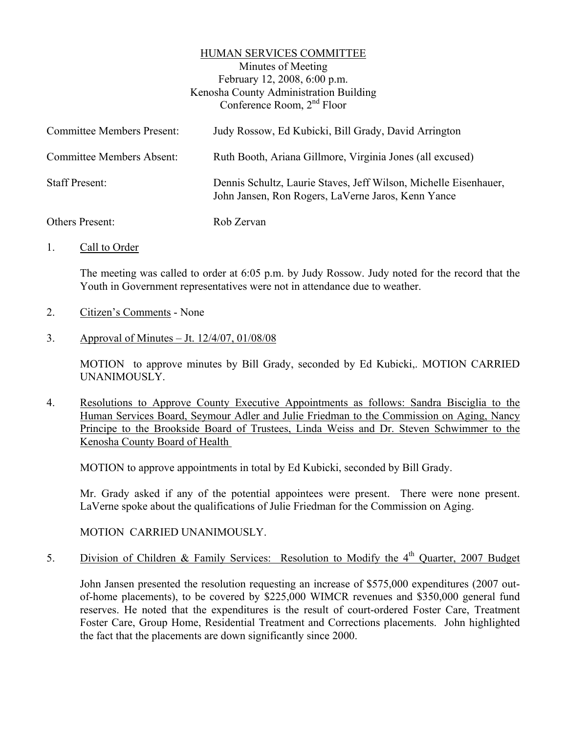### HUMAN SERVICES COMMITTEE

Minutes of Meeting February 12, 2008, 6:00 p.m. Kenosha County Administration Building Conference Room, 2nd Floor

| <b>Committee Members Present:</b> | Judy Rossow, Ed Kubicki, Bill Grady, David Arrington                                                                   |
|-----------------------------------|------------------------------------------------------------------------------------------------------------------------|
| <b>Committee Members Absent:</b>  | Ruth Booth, Ariana Gillmore, Virginia Jones (all excused)                                                              |
| <b>Staff Present:</b>             | Dennis Schultz, Laurie Staves, Jeff Wilson, Michelle Eisenhauer,<br>John Jansen, Ron Rogers, LaVerne Jaros, Kenn Yance |
| Others Present:                   | Rob Zervan                                                                                                             |

1. Call to Order

The meeting was called to order at 6:05 p.m. by Judy Rossow. Judy noted for the record that the Youth in Government representatives were not in attendance due to weather.

- 2. Citizen's Comments None
- 3. Approval of Minutes Jt. 12/4/07, 01/08/08

MOTION to approve minutes by Bill Grady, seconded by Ed Kubicki,. MOTION CARRIED UNANIMOUSLY.

4. Resolutions to Approve County Executive Appointments as follows: Sandra Bisciglia to the Human Services Board, Seymour Adler and Julie Friedman to the Commission on Aging, Nancy Principe to the Brookside Board of Trustees, Linda Weiss and Dr. Steven Schwimmer to the Kenosha County Board of Health

MOTION to approve appointments in total by Ed Kubicki, seconded by Bill Grady.

Mr. Grady asked if any of the potential appointees were present. There were none present. LaVerne spoke about the qualifications of Julie Friedman for the Commission on Aging.

MOTION CARRIED UNANIMOUSLY.

5. Division of Children & Family Services: Resolution to Modify the 4<sup>th</sup> Quarter, 2007 Budget

John Jansen presented the resolution requesting an increase of \$575,000 expenditures (2007 outof-home placements), to be covered by \$225,000 WIMCR revenues and \$350,000 general fund reserves. He noted that the expenditures is the result of court-ordered Foster Care, Treatment Foster Care, Group Home, Residential Treatment and Corrections placements. John highlighted the fact that the placements are down significantly since 2000.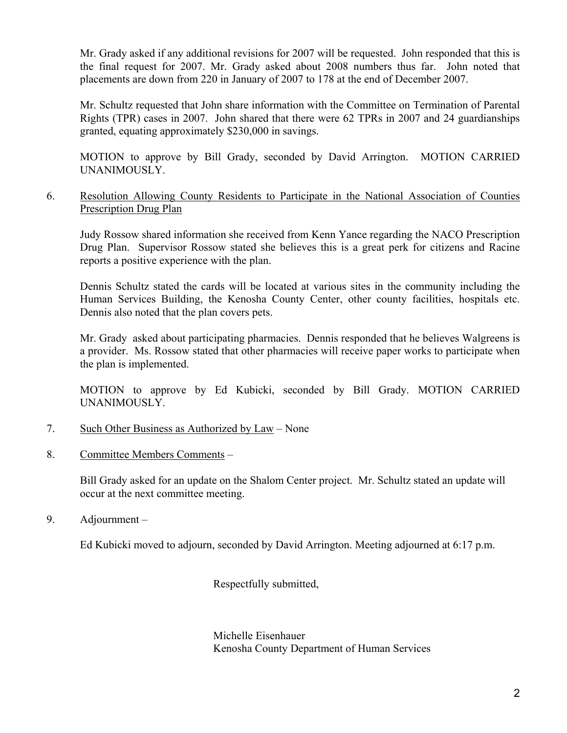Mr. Grady asked if any additional revisions for 2007 will be requested. John responded that this is the final request for 2007. Mr. Grady asked about 2008 numbers thus far. John noted that placements are down from 220 in January of 2007 to 178 at the end of December 2007.

Mr. Schultz requested that John share information with the Committee on Termination of Parental Rights (TPR) cases in 2007. John shared that there were 62 TPRs in 2007 and 24 guardianships granted, equating approximately \$230,000 in savings.

MOTION to approve by Bill Grady, seconded by David Arrington. MOTION CARRIED UNANIMOUSLY.

## 6. Resolution Allowing County Residents to Participate in the National Association of Counties Prescription Drug Plan

Judy Rossow shared information she received from Kenn Yance regarding the NACO Prescription Drug Plan. Supervisor Rossow stated she believes this is a great perk for citizens and Racine reports a positive experience with the plan.

Dennis Schultz stated the cards will be located at various sites in the community including the Human Services Building, the Kenosha County Center, other county facilities, hospitals etc. Dennis also noted that the plan covers pets.

Mr. Grady asked about participating pharmacies. Dennis responded that he believes Walgreens is a provider. Ms. Rossow stated that other pharmacies will receive paper works to participate when the plan is implemented.

MOTION to approve by Ed Kubicki, seconded by Bill Grady. MOTION CARRIED UNANIMOUSLY.

- 7. Such Other Business as Authorized by Law None
- 8. Committee Members Comments –

Bill Grady asked for an update on the Shalom Center project. Mr. Schultz stated an update will occur at the next committee meeting.

9. Adjournment –

Ed Kubicki moved to adjourn, seconded by David Arrington. Meeting adjourned at 6:17 p.m.

Respectfully submitted,

Michelle Eisenhauer Kenosha County Department of Human Services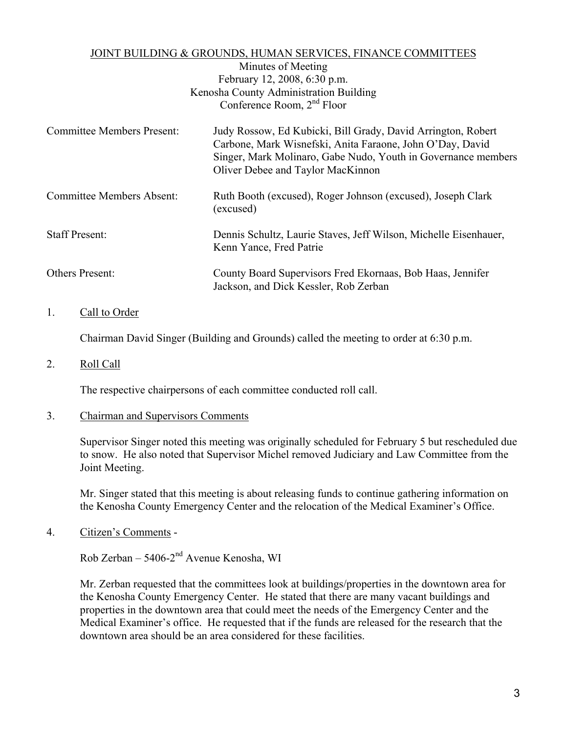## JOINT BUILDING & GROUNDS, HUMAN SERVICES, FINANCE COMMITTEES

Minutes of Meeting February 12, 2008, 6:30 p.m. Kenosha County Administration Building Conference Room, 2nd Floor

| <b>Committee Members Present:</b> | Judy Rossow, Ed Kubicki, Bill Grady, David Arrington, Robert<br>Carbone, Mark Wisnefski, Anita Faraone, John O'Day, David<br>Singer, Mark Molinaro, Gabe Nudo, Youth in Governance members<br>Oliver Debee and Taylor MacKinnon |
|-----------------------------------|---------------------------------------------------------------------------------------------------------------------------------------------------------------------------------------------------------------------------------|
| Committee Members Absent:         | Ruth Booth (excused), Roger Johnson (excused), Joseph Clark<br>(excused)                                                                                                                                                        |
| <b>Staff Present:</b>             | Dennis Schultz, Laurie Staves, Jeff Wilson, Michelle Eisenhauer,<br>Kenn Yance, Fred Patrie                                                                                                                                     |
| Others Present:                   | County Board Supervisors Fred Ekornaas, Bob Haas, Jennifer<br>Jackson, and Dick Kessler, Rob Zerban                                                                                                                             |

# 1. Call to Order

Chairman David Singer (Building and Grounds) called the meeting to order at 6:30 p.m.

### 2. Roll Call

The respective chairpersons of each committee conducted roll call.

#### 3. Chairman and Supervisors Comments

Supervisor Singer noted this meeting was originally scheduled for February 5 but rescheduled due to snow. He also noted that Supervisor Michel removed Judiciary and Law Committee from the Joint Meeting.

Mr. Singer stated that this meeting is about releasing funds to continue gathering information on the Kenosha County Emergency Center and the relocation of the Medical Examiner's Office.

4. Citizen's Comments -

Rob Zerban – 5406-2nd Avenue Kenosha, WI

Mr. Zerban requested that the committees look at buildings/properties in the downtown area for the Kenosha County Emergency Center. He stated that there are many vacant buildings and properties in the downtown area that could meet the needs of the Emergency Center and the Medical Examiner's office. He requested that if the funds are released for the research that the downtown area should be an area considered for these facilities.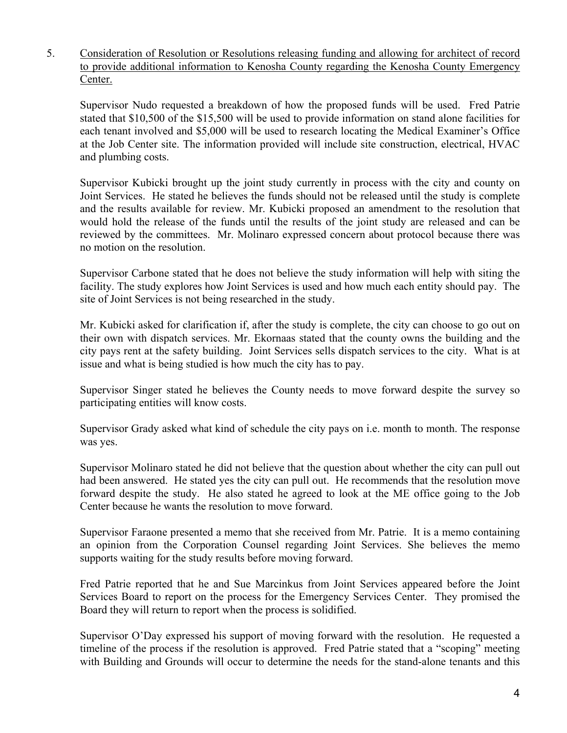5. Consideration of Resolution or Resolutions releasing funding and allowing for architect of record to provide additional information to Kenosha County regarding the Kenosha County Emergency Center.

Supervisor Nudo requested a breakdown of how the proposed funds will be used. Fred Patrie stated that \$10,500 of the \$15,500 will be used to provide information on stand alone facilities for each tenant involved and \$5,000 will be used to research locating the Medical Examiner's Office at the Job Center site. The information provided will include site construction, electrical, HVAC and plumbing costs.

Supervisor Kubicki brought up the joint study currently in process with the city and county on Joint Services. He stated he believes the funds should not be released until the study is complete and the results available for review. Mr. Kubicki proposed an amendment to the resolution that would hold the release of the funds until the results of the joint study are released and can be reviewed by the committees. Mr. Molinaro expressed concern about protocol because there was no motion on the resolution.

Supervisor Carbone stated that he does not believe the study information will help with siting the facility. The study explores how Joint Services is used and how much each entity should pay. The site of Joint Services is not being researched in the study.

Mr. Kubicki asked for clarification if, after the study is complete, the city can choose to go out on their own with dispatch services. Mr. Ekornaas stated that the county owns the building and the city pays rent at the safety building. Joint Services sells dispatch services to the city. What is at issue and what is being studied is how much the city has to pay.

Supervisor Singer stated he believes the County needs to move forward despite the survey so participating entities will know costs.

Supervisor Grady asked what kind of schedule the city pays on i.e. month to month. The response was yes.

Supervisor Molinaro stated he did not believe that the question about whether the city can pull out had been answered. He stated yes the city can pull out. He recommends that the resolution move forward despite the study. He also stated he agreed to look at the ME office going to the Job Center because he wants the resolution to move forward.

Supervisor Faraone presented a memo that she received from Mr. Patrie. It is a memo containing an opinion from the Corporation Counsel regarding Joint Services. She believes the memo supports waiting for the study results before moving forward.

Fred Patrie reported that he and Sue Marcinkus from Joint Services appeared before the Joint Services Board to report on the process for the Emergency Services Center. They promised the Board they will return to report when the process is solidified.

Supervisor O'Day expressed his support of moving forward with the resolution. He requested a timeline of the process if the resolution is approved. Fred Patrie stated that a "scoping" meeting with Building and Grounds will occur to determine the needs for the stand-alone tenants and this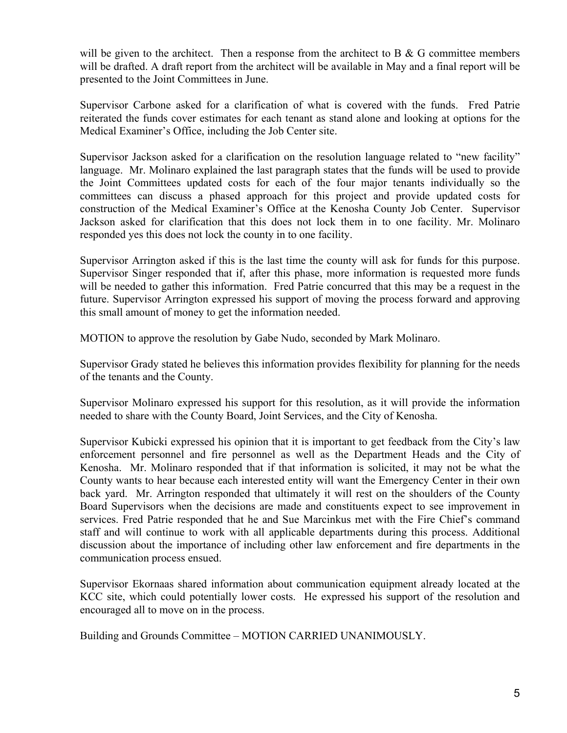will be given to the architect. Then a response from the architect to B  $\&$  G committee members will be drafted. A draft report from the architect will be available in May and a final report will be presented to the Joint Committees in June.

Supervisor Carbone asked for a clarification of what is covered with the funds. Fred Patrie reiterated the funds cover estimates for each tenant as stand alone and looking at options for the Medical Examiner's Office, including the Job Center site.

Supervisor Jackson asked for a clarification on the resolution language related to "new facility" language. Mr. Molinaro explained the last paragraph states that the funds will be used to provide the Joint Committees updated costs for each of the four major tenants individually so the committees can discuss a phased approach for this project and provide updated costs for construction of the Medical Examiner's Office at the Kenosha County Job Center. Supervisor Jackson asked for clarification that this does not lock them in to one facility. Mr. Molinaro responded yes this does not lock the county in to one facility.

Supervisor Arrington asked if this is the last time the county will ask for funds for this purpose. Supervisor Singer responded that if, after this phase, more information is requested more funds will be needed to gather this information. Fred Patrie concurred that this may be a request in the future. Supervisor Arrington expressed his support of moving the process forward and approving this small amount of money to get the information needed.

MOTION to approve the resolution by Gabe Nudo, seconded by Mark Molinaro.

Supervisor Grady stated he believes this information provides flexibility for planning for the needs of the tenants and the County.

Supervisor Molinaro expressed his support for this resolution, as it will provide the information needed to share with the County Board, Joint Services, and the City of Kenosha.

Supervisor Kubicki expressed his opinion that it is important to get feedback from the City's law enforcement personnel and fire personnel as well as the Department Heads and the City of Kenosha. Mr. Molinaro responded that if that information is solicited, it may not be what the County wants to hear because each interested entity will want the Emergency Center in their own back yard. Mr. Arrington responded that ultimately it will rest on the shoulders of the County Board Supervisors when the decisions are made and constituents expect to see improvement in services. Fred Patrie responded that he and Sue Marcinkus met with the Fire Chief's command staff and will continue to work with all applicable departments during this process. Additional discussion about the importance of including other law enforcement and fire departments in the communication process ensued.

Supervisor Ekornaas shared information about communication equipment already located at the KCC site, which could potentially lower costs. He expressed his support of the resolution and encouraged all to move on in the process.

Building and Grounds Committee – MOTION CARRIED UNANIMOUSLY.